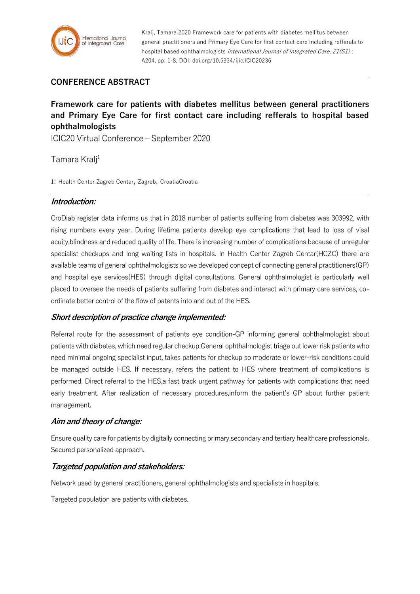

Kralj, Tamara 2020 Framework care for patients with diabetes mellitus between general practitioners and Primary Eye Care for first contact care including refferals to hospital based ophthalmologists International Journal of Integrated Care, 21(S1): A204, pp. 1-8, DOI: doi.org/10.5334/ijic.ICIC20236

# **CONFERENCE ABSTRACT**

# **Framework care for patients with diabetes mellitus between general practitioners and Primary Eye Care for first contact care including refferals to hospital based ophthalmologists**

ICIC20 Virtual Conference – September 2020

Tamara Kralj<sup>1</sup>

1: Health Center Zagreb Centar, Zagreb, CroatiaCroatia

#### **Introduction:**

CroDiab register data informs us that in 2018 number of patients suffering from diabetes was 303992, with rising numbers every year. During lifetime patients develop eye complications that lead to loss of visal acuity,blindness and reduced quality of life. There is increasing number of complications because of unregular specialist checkups and long waiting lists in hospitals. In Health Center Zagreb Centar(HCZC) there are available teams of general ophthalmologists so we developed concept of connecting general practitioners(GP) and hospital eye services(HES) through digital consultations. General ophthalmologist is particularly well placed to oversee the needs of patients suffering from diabetes and interact with primary care services, coordinate better control of the flow of patents into and out of the HES.

#### **Short description of practice change implemented:**

Referral route for the assessment of patients eye condition-GP informing general ophthalmologist about patients with diabetes, which need regular checkup.General ophthalmologist triage out lower risk patients who need minimal ongoing specialist input, takes patients for checkup so moderate or lower-risk conditions could be managed outside HES. If necessary, refers the patient to HES where treatment of complications is performed. Direct referral to the HES,a fast track urgent pathway for patients with complications that need early treatment. After realization of necessary procedures,inform the patient's GP about further patient management.

## **Aim and theory of change:**

Ensure quality care for patients by digitally connecting primary,secondary and tertiary healthcare professionals. Secured personalized approach.

## **Targeted population and stakeholders:**

Network used by general practitioners, general ophthalmologists and specialists in hospitals.

Targeted population are patients with diabetes.